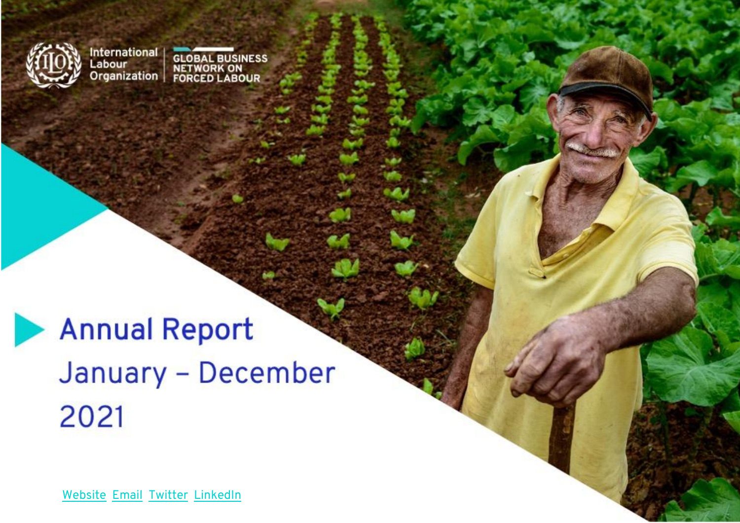

International<br>Labour<br>Organization

**GLOBAL BUSINESS<br>NETWORK ON<br>FORCED LABOUR** 

# **Annual Report** January - December 2021

[Website](https://flbusiness.network/) [Email](mailto:fl-businessnetwork@ilo.org) [Twitter](https://twitter.com/ILOFLNetwork) LinkedIn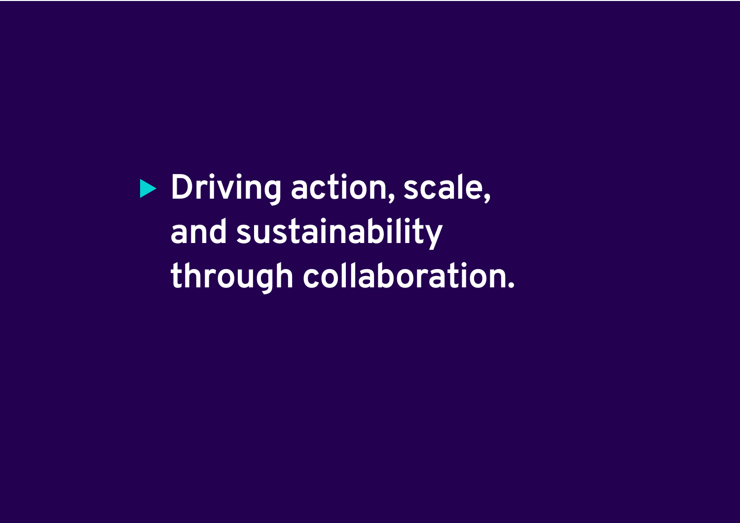**Driving action, scale, and sustainability through collaboration.**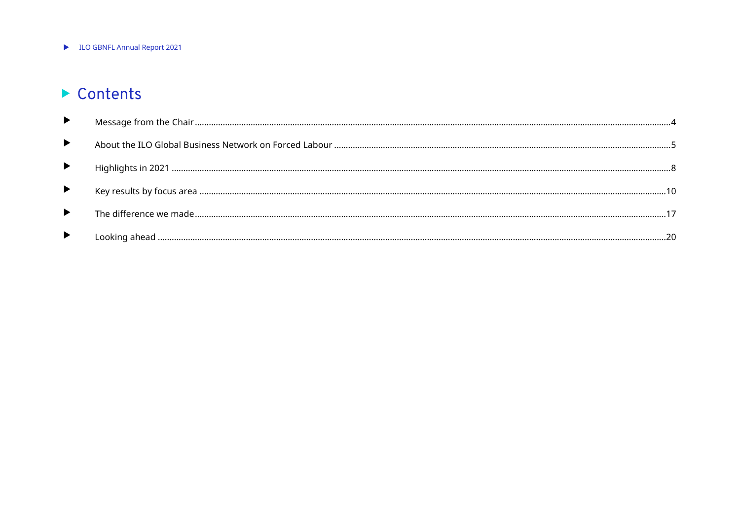LO GBNFL Annual Report 2021

## Contents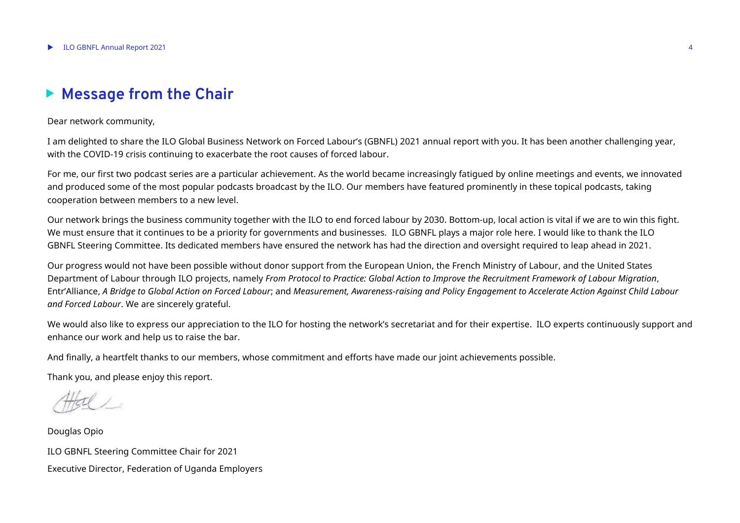## <span id="page-3-0"></span>**Message from the Chair**

#### Dear network community,

I am delighted to share the ILO Global Business Network on Forced Labour's (GBNFL) 2021 annual report with you. It has been another challenging year, with the COVID-19 crisis continuing to exacerbate the root causes of forced labour.

For me, our first two podcast series are a particular achievement. As the world became increasingly fatigued by online meetings and events, we innovated and produced some of the most popular podcasts broadcast by the ILO. Our members have featured prominently in these topical podcasts, taking cooperation between members to a new level.

Our network brings the business community together with the ILO to end forced labour by 2030. Bottom-up, local action is vital if we are to win this fight. We must ensure that it continues to be a priority for governments and businesses. ILO GBNFL plays a major role here. I would like to thank the ILO GBNFL Steering Committee. Its dedicated members have ensured the network has had the direction and oversight required to leap ahead in 2021.

Our progress would not have been possible without donor support from the European Union, the French Ministry of Labour, and the United States Department of Labour through ILO projects, namely *From Protocol to Practice: Global Action to Improve the Recruitment Framework of Labour Migration*, Entr'Alliance, *A Bridge to Global Action on Forced Labour*; and *Measurement, Awareness-raising and Policy Engagement to Accelerate Action Against Child Labour and Forced Labour*. We are sincerely grateful.

We would also like to express our appreciation to the ILO for hosting the network's secretariat and for their expertise. ILO experts continuously support and enhance our work and help us to raise the bar.

And finally, a heartfelt thanks to our members, whose commitment and efforts have made our joint achievements possible.

Thank you, and please enjoy this report.

Douglas Opio ILO GBNFL Steering Committee Chair for 2021 Executive Director, Federation of Uganda Employers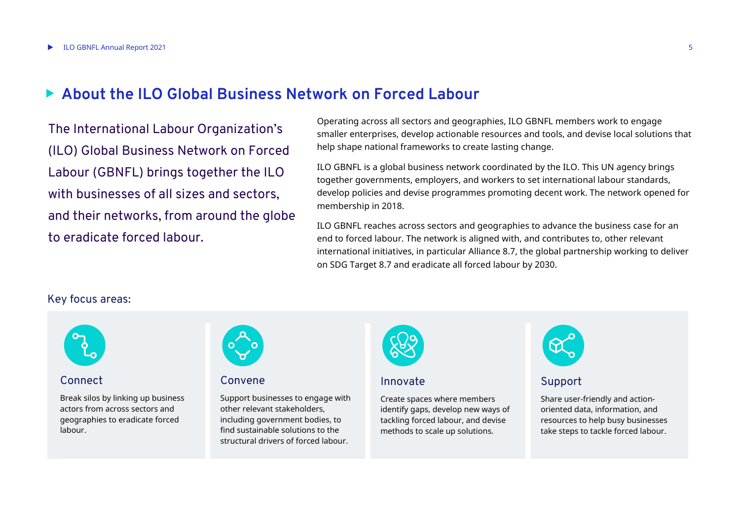## <span id="page-4-0"></span>**About the ILO Global Business Network on Forced Labour**

The International Labour Organization's (ILO) Global Business Network on Forced Labour (GBNFL) brings together the ILO with businesses of all sizes and sectors. and their networks, from around the globe to eradicate forced labour.

Operating across all sectors and geographies, ILO GBNFL members work to engage smaller enterprises, develop actionable resources and tools, and devise local solutions that help shape national frameworks to create lasting change.

ILO GBNFL is a global business network coordinated by the ILO. This UN agency brings together governments, employers, and workers to set international labour standards, develop policies and devise programmes promoting decent work. The network opened for membership in 2018.

ILO GBNFL reaches across sectors and geographies to advance the business case for an end to forced labour. The network is aligned with, and contributes to, other relevant international initiatives, in particular Alliance 8.7, the global partnership working to deliver on SDG Target 8.7 and eradicate all forced labour by 2030.

#### Key focus areas:



#### Connect

Break silos by linking up business actors from across sectors and geographies to eradicate forced labour.



#### Convene

Support businesses to engage with other relevant stakeholders, including government bodies, to find sustainable solutions to the structural drivers of forced labour.



#### Innovate

Create spaces where members identify gaps, develop new ways of tackling forced labour, and devise methods to scale up solutions.



#### Support

Share user-friendly and actionoriented data, information, and resources to help busy businesses take steps to tackle forced labour.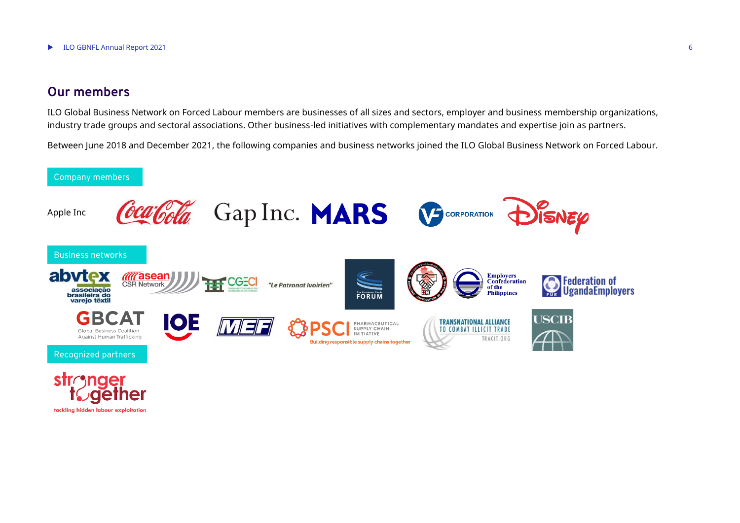#### **Our members**

tackling hidden labour exploitation

ILO Global Business Network on Forced Labour members are businesses of all sizes and sectors, employer and business membership organizations, industry trade groups and sectoral associations. Other business-led initiatives with complementary mandates and expertise join as partners.

Between June 2018 and December 2021, the following companies and business networks joined the ILO Global Business Network on Forced Labour.

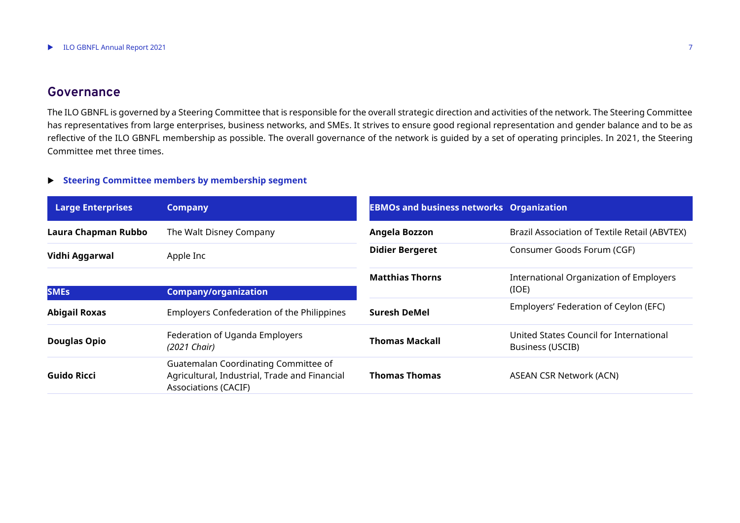### **Governance**

The ILO GBNFL is governed by a Steering Committee that is responsible for the overall strategic direction and activities of the network. The Steering Committee has representatives from large enterprises, business networks, and SMEs. It strives to ensure good regional representation and gender balance and to be as reflective of the ILO GBNFL membership as possible. The overall governance of the network is guided by a set of operating principles. In 2021, the Steering Committee met three times.

#### **Steering Committee members by membership segment**

| <b>Large Enterprises</b> | <b>Company</b>                                                                                                       | <b>EBMOs and business networks Organization</b> |                                                             |
|--------------------------|----------------------------------------------------------------------------------------------------------------------|-------------------------------------------------|-------------------------------------------------------------|
| Laura Chapman Rubbo      | The Walt Disney Company                                                                                              | Angela Bozzon                                   | Brazil Association of Textile Retail (ABVTEX)               |
| Vidhi Aggarwal           | Apple Inc                                                                                                            | <b>Didier Bergeret</b>                          | Consumer Goods Forum (CGF)                                  |
|                          |                                                                                                                      | <b>Matthias Thorns</b>                          | <b>International Organization of Employers</b>              |
| <b>SMES</b>              | <b>Company/organization</b>                                                                                          |                                                 | (IOE)                                                       |
| <b>Abigail Roxas</b>     | <b>Employers Confederation of the Philippines</b>                                                                    | <b>Suresh DeMel</b>                             | Employers' Federation of Ceylon (EFC)                       |
| <b>Douglas Opio</b>      | Federation of Uganda Employers<br>(2021 Chair)                                                                       | <b>Thomas Mackall</b>                           | United States Council for International<br>Business (USCIB) |
| Guido Ricci              | Guatemalan Coordinating Committee of<br>Agricultural, Industrial, Trade and Financial<br><b>Associations (CACIF)</b> | <b>Thomas Thomas</b>                            | <b>ASEAN CSR Network (ACN)</b>                              |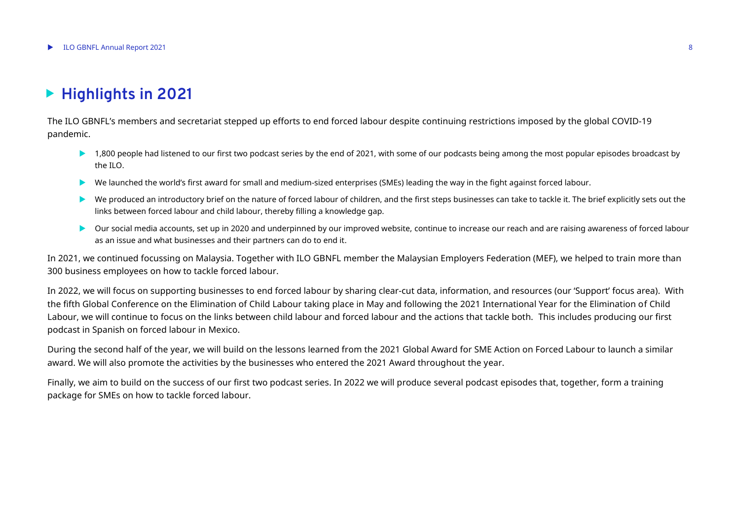## <span id="page-7-0"></span>**Highlights in 2021**

The ILO GBNFL's members and secretariat stepped up efforts to end forced labour despite continuing restrictions imposed by the global COVID-19 pandemic.

- ▶ 1,800 people had listened to our first two podcast series by the end of 2021, with some of our podcasts being among the most popular episodes broadcast by the ILO.
- We launched the world's first award for small and medium-sized enterprises (SMEs) leading the way in the fight against forced labour.
- We produced an introductory brief on the nature of forced labour of children, and the first steps businesses can take to tackle it. The brief explicitly sets out the links between forced labour and child labour, thereby filling a knowledge gap.
- Our social media accounts, set up in 2020 and underpinned by our improved website, continue to increase our reach and are raising awareness of forced labour as an issue and what businesses and their partners can do to end it.

In 2021, we continued focussing on Malaysia. Together with ILO GBNFL member the Malaysian Employers Federation (MEF), we helped to train more than 300 business employees on how to tackle forced labour.

In 2022, we will focus on supporting businesses to end forced labour by sharing clear-cut data, information, and resources (our 'Support' focus area). With the fifth Global Conference on the Elimination of Child Labour taking place in May and following the 2021 International Year for the Elimination of Child Labour, we will continue to focus on the links between child labour and forced labour and the actions that tackle both. This includes producing our first podcast in Spanish on forced labour in Mexico.

During the second half of the year, we will build on the lessons learned from the 2021 Global Award for SME Action on Forced Labour to launch a similar award. We will also promote the activities by the businesses who entered the 2021 Award throughout the year.

Finally, we aim to build on the success of our first two podcast series. In 2022 we will produce several podcast episodes that, together, form a training package for SMEs on how to tackle forced labour.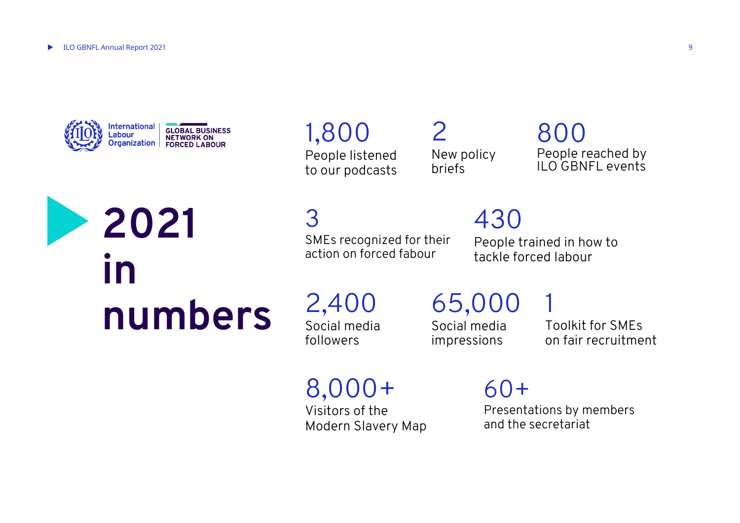

**in**

**2021** 

**numbers**

## 1,800

People listened to our podcasts

2 New policy briefs

## 800 People reached by ILO GBNFL events

3

SMEs recognized for their action on forced fabour

430

People trained in how to tackle forced labour

2,400 Social media followers

65,000 Social media impressions

1 Toolkit for SMEs on fair recruitment

8,000+

Visitors of the Modern Slavery Map 60+ Presentations by members and the secretariat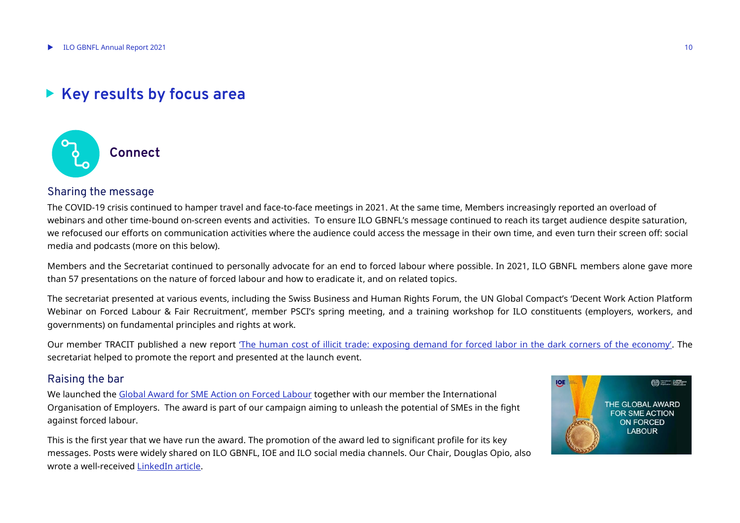## <span id="page-9-0"></span>**Key results by focus area**



#### Sharing the message

The COVID-19 crisis continued to hamper travel and face-to-face meetings in 2021. At the same time, Members increasingly reported an overload of webinars and other time-bound on-screen events and activities. To ensure ILO GBNFL's message continued to reach its target audience despite saturation, we refocused our efforts on communication activities where the audience could access the message in their own time, and even turn their screen off: social media and podcasts (more on this below).

Members and the Secretariat continued to personally advocate for an end to forced labour where possible. In 2021, ILO GBNFL members alone gave more than 57 presentations on the nature of forced labour and how to eradicate it, and on related topics.

The secretariat presented at various events, including the Swiss Business and Human Rights Forum, the UN Global Compact's 'Decent Work Action Platform Webinar on Forced Labour & Fair Recruitment', member PSCI's spring meeting, and a training workshop for ILO constituents (employers, workers, and governments) on fundamental principles and rights at work.

Our member TRACIT published a new report 'T[he human cost of illicit trade: exposing demand for forced labor in the dark corners of the economy'](http://www.tracit.org/uploads/1/0/2/2/102238034/tracit_forced_labor_and_illicit_trade_nov2021_final.pdf). The secretariat helped to promote the report and presented at the launch event.

#### Raising the bar

We launched the [Global Award for SME Action on Forced Labour](https://flbusiness.network/the-2021-global-innovation-award-for-sme-action-on-forced-labour/) together with our member the International Organisation of Employers. The award is part of our campaign aiming to unleash the potential of SMEs in the fight against forced labour.

This is the first year that we have run the award. The promotion of the award led to significant profile for its key messages. Posts were widely shared on ILO GBNFL, IOE and ILO social media channels. Our Chair, Douglas Opio, also wrote a well-received [LinkedIn article.](https://www.linkedin.com/pulse/smes-please-enter-ilo-gbnfls-award-/)

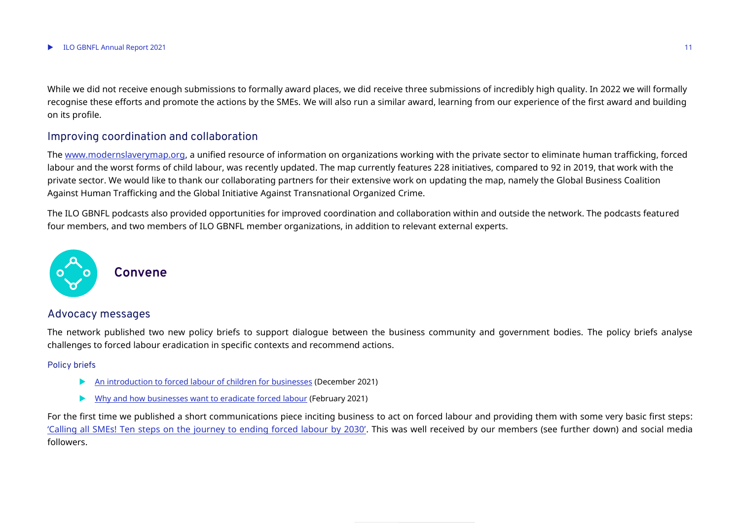While we did not receive enough submissions to formally award places, we did receive three submissions of incredibly high quality. In 2022 we will formally recognise these efforts and promote the actions by the SMEs. We will also run a similar award, learning from our experience of the first award and building on its profile.

#### Improving coordination and collaboration

The [www.modernslaverymap.org,](http://www.modernslaverymap.org/) a unified resource of information on organizations working with the private sector to eliminate human trafficking, forced labour and the worst forms of child labour, was recently updated. The map currently features 228 initiatives, compared to 92 in 2019, that work with the private sector. We would like to thank our collaborating partners for their extensive work on updating the map, namely the Global Business Coalition Against Human Trafficking and the Global Initiative Against Transnational Organized Crime.

The ILO GBNFL podcasts also provided opportunities for improved coordination and collaboration within and outside the network. The podcasts featured four members, and two members of ILO GBNFL member organizations, in addition to relevant external experts.



#### **Convene**

#### Advocacy messages

The network published two new policy briefs to support dialogue between the business community and government bodies. The policy briefs analyse challenges to forced labour eradication in specific contexts and recommend actions.

#### Policy briefs

- [An introduction to forced labour of children for businesses](https://flbusiness.network/forced-labour-of-children/) (December 2021)
- [Why and how businesses want to eradicate forced labour](https://flbusiness.network/global-policy-brief-why-and-how-businesses-want-to-eradicate-forced-labour/) (February 2021)

For the first time we published a short communications piece inciting business to act on forced labour and providing them with some very basic first steps: ['Calling all SMEs! Ten steps on the journey to ending forced labour by 2030'](https://flbusiness.network/calling-all-smes-ten-steps-on-the-journey-to-ending-forced-labour-by-2030/). This was well received by our members (see further down) and social media followers.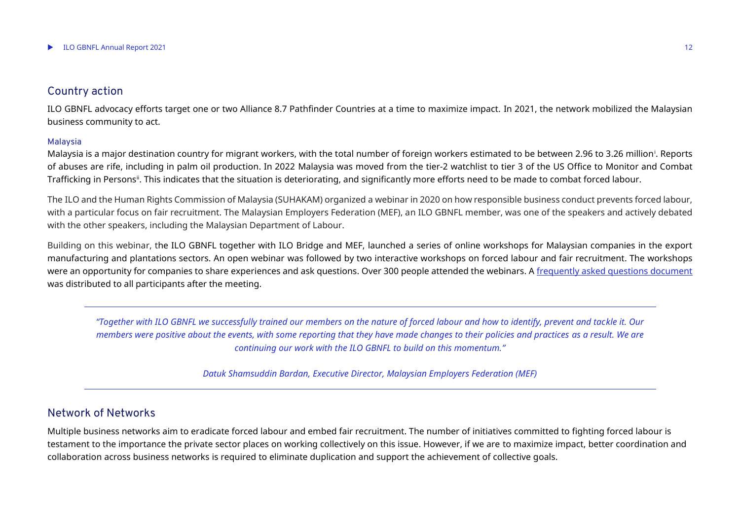#### Country action

ILO GBNFL advocacy efforts target one or two Alliance 8.7 Pathfinder Countries at a time to maximize impact. In 2021, the network mobilized the Malaysian business community to act.

#### Malaysia

Malaysia is a major destination country for migrant workers, with the total number of foreign workers estimated to be between 2.96 to 3.26 million<sup>i</sup>. Reports of abuses are rife, including in palm oil production. In 2022 Malaysia was moved from the tier-2 watchlist to tier 3 of the US Office to Monitor and Combat Trafficking in Persons". This indicates that the situation is deteriorating, and significantly more efforts need to be made to combat forced labour.

The ILO and the Human Rights Commission of Malaysia (SUHAKAM) organized a webinar in 2020 on how responsible business conduct prevents forced labour, with a particular focus on fair recruitment. The Malaysian Employers Federation (MEF), an ILO GBNFL member, was one of the speakers and actively debated with the other speakers, including the Malaysian Department of Labour.

Building on this webinar, the ILO GBNFL together with ILO Bridge and MEF, launched a series of online workshops for Malaysian companies in the export manufacturing and plantations sectors. An open webinar was followed by two interactive workshops on forced labour and fair recruitment. The workshops were an opportunity for companies to share experiences and ask questions. Over 300 people attended the webinars. A [frequently asked questions document](https://www.ilo.org/asia/publications/WCMS_793240/lang--en/index.htm) was distributed to all participants after the meeting.

*"Together with ILO GBNFL we successfully trained our members on the nature of forced labour and how to identify, prevent and tackle it. Our members were positive about the events, with some reporting that they have made changes to their policies and practices as a result. We are continuing our work with the ILO GBNFL to build on this momentum."*

*Datuk Shamsuddin Bardan, Executive Director, Malaysian Employers Federation (MEF)*

#### Network of Networks

Multiple business networks aim to eradicate forced labour and embed fair recruitment. The number of initiatives committed to fighting forced labour is testament to the importance the private sector places on working collectively on this issue. However, if we are to maximize impact, better coordination and collaboration across business networks is required to eliminate duplication and support the achievement of collective goals.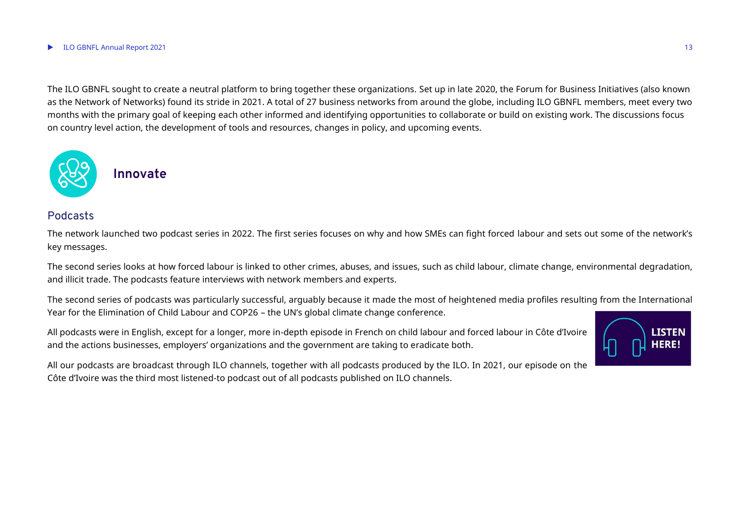#### $\blacktriangleright$  ILO GBNFL Annual Report 2021 13

The ILO GBNFL sought to create a neutral platform to bring together these organizations. Set up in late 2020, the Forum for Business Initiatives (also known as the Network of Networks) found its stride in 2021. A total of 27 business networks from around the globe, including ILO GBNFL members, meet every two months with the primary goal of keeping each other informed and identifying opportunities to collaborate or build on existing work. The discussions focus on country level action, the development of tools and resources, changes in policy, and upcoming events.



#### **Innovate**

#### Podcasts

The network launched two podcast series in 2022. The first series focuses on why and how SMEs can fight forced labour and sets out some of the network's key messages.

The second series looks at how forced labour is linked to other crimes, abuses, and issues, such as child labour, climate change, environmental degradation, and illicit trade. The podcasts feature interviews with network members and experts.

The second series of podcasts was particularly successful, arguably because it made the most of heightened media profiles resulting from the International Year for the Elimination of Child Labour and COP26 – the UN's global climate change conference.

All podcasts were in English, except for a longer, more in-depth episode in French on child labour and forced labour in Côte d'Ivoire and the actions businesses, employers' organizations and the government are taking to eradicate both.



All our podcasts are broadcast through ILO channels, together with all podcasts produced by the ILO. In 2021, our episode on the Côte d'Ivoire was the third most listened-to podcast out of all podcasts published on ILO channels.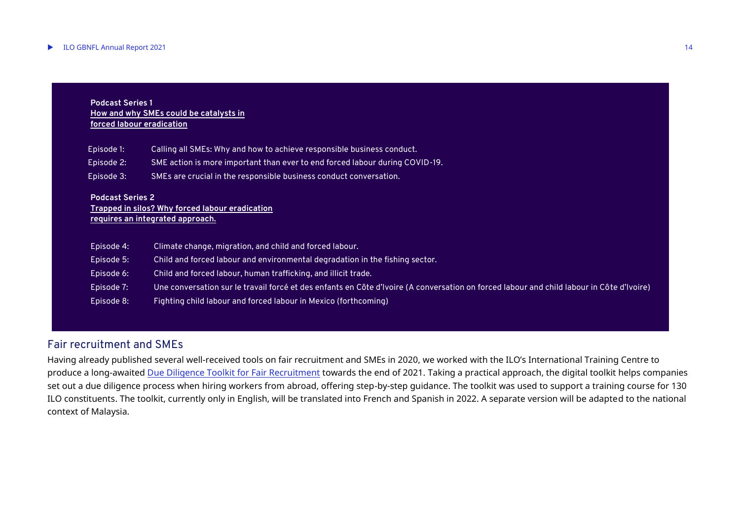#### **Podcast Series 1 [How and why SMEs could be catalysts in](https://flbusiness.network/listen-to-ilo-gbnfls-first-podcast-series/)  [forced labour eradication](https://flbusiness.network/listen-to-ilo-gbnfls-first-podcast-series/)**

| Episode 1: | Calling all SMEs: Why and how to achieve responsible business conduct.         |
|------------|--------------------------------------------------------------------------------|
| Episode 2: | , SME action is more important than ever to end forced labour during COVID-19. |
| Episode 3: | 'SMEs are crucial in the responsible business conduct conversation.            |

#### **Podcast Series 2**

#### **[Trapped in silos? Why forced labour eradication](https://flbusiness.network/second-podcast-series-now-available/)  [requires an integrated approach.](https://flbusiness.network/second-podcast-series-now-available/)**

| Episode 4: | Climate change, migration, and child and forced labour.                                                                                   |
|------------|-------------------------------------------------------------------------------------------------------------------------------------------|
| Episode 5: | Child and forced labour and environmental degradation in the fishing sector.                                                              |
| Episode 6: | Child and forced labour, human trafficking, and illicit trade.                                                                            |
| Episode 7: | Une conversation sur le travail forcé et des enfants en Côte d'Ivoire (A conversation on forced labour and child labour in Côte d'Ivoire) |
| Episode 8: | Fighting child labour and forced labour in Mexico (forthcoming)                                                                           |

#### Fair recruitment and SMEs

Having already published several well-received tools on fair recruitment and SMEs in 2020, we worked with the ILO's International Training Centre to produce a long-awaited [Due Diligence Toolkit for Fair Recruitment](https://flbusiness.network/toolkit-fair-recruitment/story.html) towards the end of 2021. Taking a practical approach, the digital toolkit helps companies set out a due diligence process when hiring workers from abroad, offering step-by-step guidance. The toolkit was used to support a training course for 130 ILO constituents. The toolkit, currently only in English, will be translated into French and Spanish in 2022. A separate version will be adapted to the national context of Malaysia.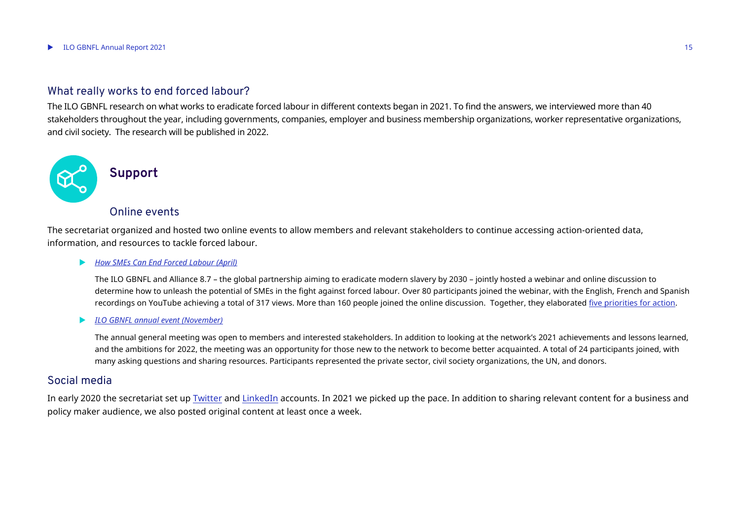#### What really works to end forced labour?

The ILO GBNFL research on what works to eradicate forced labour in different contexts began in 2021. To find the answers, we interviewed more than 40 stakeholders throughout the year, including governments, companies, employer and business membership organizations, worker representative organizations, and civil society. The research will be published in 2022.



#### **Support**

#### Online events

The secretariat organized and hosted two online events to allow members and relevant stakeholders to continue accessing action-oriented data, information, and resources to tackle forced labour.

#### *[How SMEs Can End Forced Labour \(April\)](https://flbusiness.network/webinar-how-small-and-medium-sized-enterprises-can-end-forced-labour/)*

The ILO GBNFL and Alliance 8.7 – the global partnership aiming to eradicate modern slavery by 2030 – jointly hosted a webinar and online discussion to determine how to unleash the potential of SMEs in the fight against forced labour. Over 80 participants joined the webinar, with the English, French and Spanish recordings on YouTube achieving a total of 317 views. More than 160 people joined the online discussion. Together, they elaborated [five priorities for action.](https://flbusiness.network/ilo-gbnfl-alliance-8-7-community-set-out-five-actions-to-help-smes-end-forced-labour-by-2030-2/)

#### *[ILO GBNFL annual event \(November\)](https://flbusiness.network/ilo-gbnfl-third-annual-meeting/)*

The annual general meeting was open to members and interested stakeholders. In addition to looking at the network's 2021 achievements and lessons learned, and the ambitions for 2022, the meeting was an opportunity for those new to the network to become better acquainted. A total of 24 participants joined, with many asking questions and sharing resources. Participants represented the private sector, civil society organizations, the UN, and donors.

#### Social media

In early 2020 the secretariat set up **Twitter and [LinkedIn](https://www.linkedin.com/showcase/ilo-global-business-network-on-forced-labour)** accounts. In 2021 we picked up the pace. In addition to sharing relevant content for a business and policy maker audience, we also posted original content at least once a week.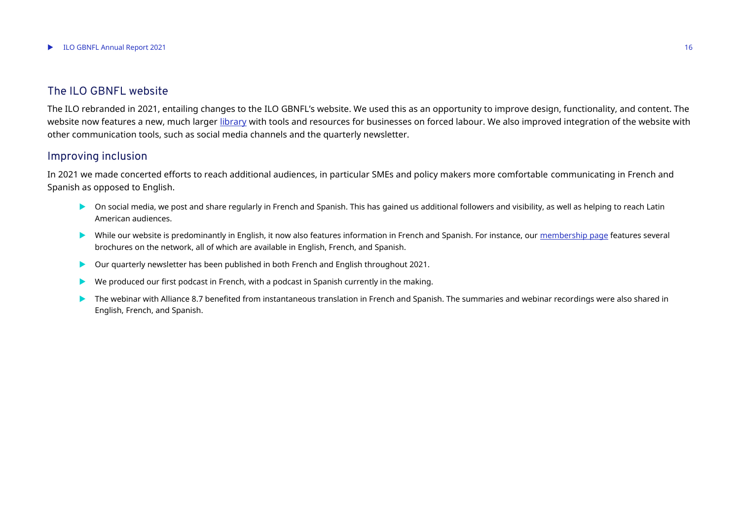#### The ILO GBNFL website

The ILO rebranded in 2021, entailing changes to the ILO GBNFL's website. We used this as an opportunity to improve design, functionality, and content. The website now features a new, much larger [library](https://flbusiness.network/library-publication/) with tools and resources for businesses on forced labour. We also improved integration of the website with other communication tools, such as social media channels and the quarterly newsletter.

#### Improving inclusion

In 2021 we made concerted efforts to reach additional audiences, in particular SMEs and policy makers more comfortable communicating in French and Spanish as opposed to English.

- On social media, we post and share regularly in French and Spanish. This has gained us additional followers and visibility, as well as helping to reach Latin American audiences.
- While our website is predominantly in English, it now also features information in French and Spanish. For instance, our [membership page](https://flbusiness.network/membership/) features several brochures on the network, all of which are available in English, French, and Spanish.
- Our quarterly newsletter has been published in both French and English throughout 2021.
- We produced our first podcast in French, with a podcast in Spanish currently in the making.
- The webinar with Alliance 8.7 benefited from instantaneous translation in French and Spanish. The summaries and webinar recordings were also shared in English, French, and Spanish.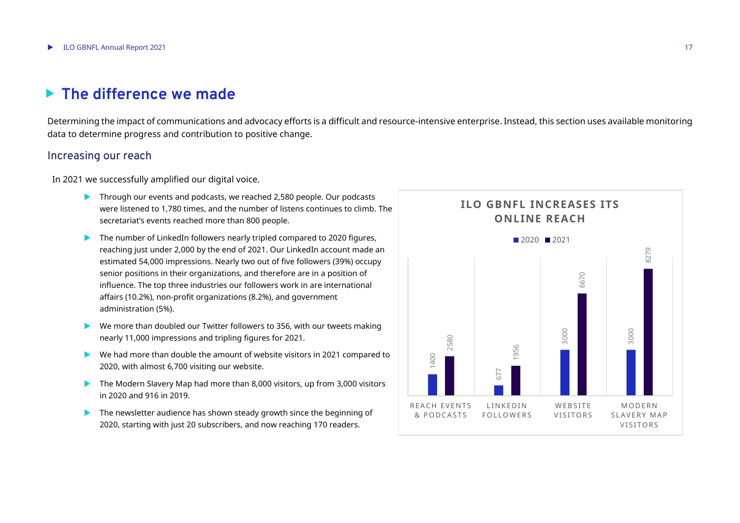## <span id="page-16-0"></span>**The difference we made**

Determining the impact of communications and advocacy efforts is a difficult and resource-intensive enterprise. Instead, this section uses available monitoring data to determine progress and contribution to positive change.

#### Increasing our reach

In 2021 we successfully amplified our digital voice.

- **Through our events and podcasts, we reached 2,580 people. Our podcasts** were listened to 1,780 times, and the number of listens continues to climb. The secretariat's events reached more than 800 people.
- $\blacktriangleright$  The number of LinkedIn followers nearly tripled compared to 2020 figures, reaching just under 2,000 by the end of 2021. Our LinkedIn account made an estimated 54,000 impressions. Nearly two out of five followers (39%) occupy senior positions in their organizations, and therefore are in a position of influence. The top three industries our followers work in are international affairs (10.2%), non-profit organizations (8.2%), and government administration (5%).
- We more than doubled our Twitter followers to 356, with our tweets making nearly 11,000 impressions and tripling figures for 2021.
- We had more than double the amount of website visitors in 2021 compared to 2020, with almost 6,700 visiting our website.
- ▶ The Modern Slavery Map had more than 8,000 visitors, up from 3,000 visitors in 2020 and 916 in 2019.
- The newsletter audience has shown steady growth since the beginning of 2020, starting with just 20 subscribers, and now reaching 170 readers.

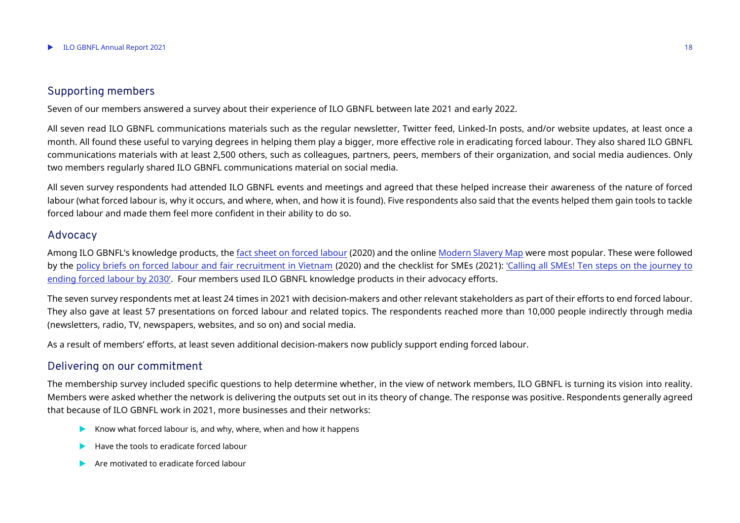#### Supporting members

Seven of our members answered a survey about their experience of ILO GBNFL between late 2021 and early 2022.

All seven read ILO GBNFL communications materials such as the regular newsletter, Twitter feed, Linked-In posts, and/or website updates, at least once a month. All found these useful to varying degrees in helping them play a bigger, more effective role in eradicating forced labour. They also shared ILO GBNFL communications materials with at least 2,500 others, such as colleagues, partners, peers, members of their organization, and social media audiences. Only two members regularly shared ILO GBNFL communications material on social media.

All seven survey respondents had attended ILO GBNFL events and meetings and agreed that these helped increase their awareness of the nature of forced labour (what forced labour is, why it occurs, and where, when, and how it is found). Five respondents also said that the events helped them gain tools to tackle forced labour and made them feel more confident in their ability to do so.

#### Advocacy

Among ILO GBNFL's knowledge products, the [fact sheet on forced labour](https://flbusiness.network/library/forced-labour-global-facts-and-figures/) (2020) and the online [Modern Slavery Map](https://www.modernslaverymap.org/#section=welcome) were most popular. These were followed by the [policy briefs on forced labour and fair recruitment in Vietnam](https://flbusiness.network/library/policy-briefs-viet-nam/) (2020) and the checklist for SMEs (2021): ['Calling all SMEs! Ten steps on the journey to](https://flbusiness.network/calling-all-smes-ten-steps-on-the-journey-to-ending-forced-labour-by-2030/)  [ending forced labour by 2030'](https://flbusiness.network/calling-all-smes-ten-steps-on-the-journey-to-ending-forced-labour-by-2030/). Four members used ILO GBNFL knowledge products in their advocacy efforts.

The seven survey respondents met at least 24 times in 2021 with decision-makers and other relevant stakeholders as part of their efforts to end forced labour. They also gave at least 57 presentations on forced labour and related topics. The respondents reached more than 10,000 people indirectly through media (newsletters, radio, TV, newspapers, websites, and so on) and social media.

As a result of members' efforts, at least seven additional decision-makers now publicly support ending forced labour.

#### Delivering on our commitment

The membership survey included specific questions to help determine whether, in the view of network members, ILO GBNFL is turning its vision into reality. Members were asked whether the network is delivering the outputs set out in its theory of change. The response was positive. Respondents generally agreed that because of ILO GBNFL work in 2021, more businesses and their networks:

- Know what forced labour is, and why, where, when and how it happens
- $\blacktriangleright$  Have the tools to eradicate forced labour
- **Are motivated to eradicate forced labour**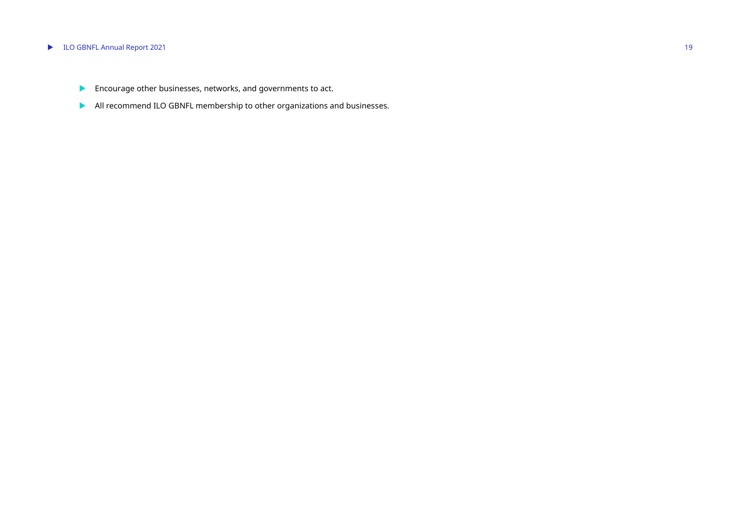#### ▶ ILO GBNFL Annual Report 2021 19

- **Encourage other businesses, networks, and governments to act.**
- All recommend ILO GBNFL membership to other organizations and businesses.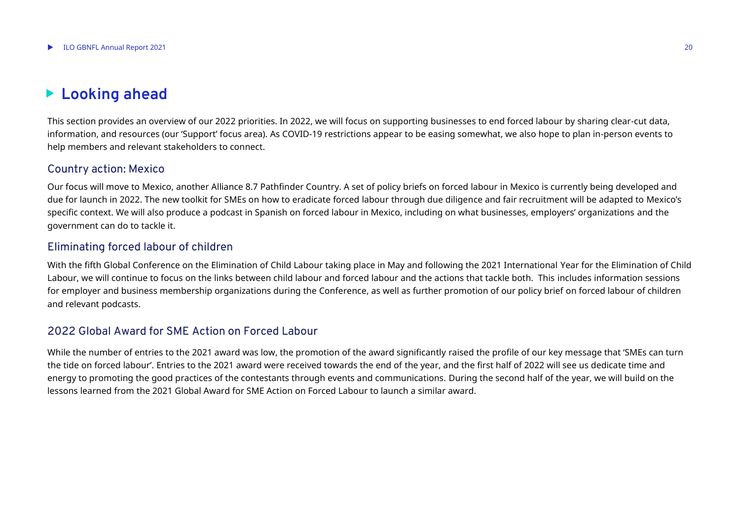## <span id="page-19-0"></span>**Looking ahead**

This section provides an overview of our 2022 priorities. In 2022, we will focus on supporting businesses to end forced labour by sharing clear-cut data, information, and resources (our 'Support' focus area). As COVID-19 restrictions appear to be easing somewhat, we also hope to plan in-person events to help members and relevant stakeholders to connect.

#### Country action: Mexico

Our focus will move to Mexico, another Alliance 8.7 Pathfinder Country. A set of policy briefs on forced labour in Mexico is currently being developed and due for launch in 2022. The new toolkit for SMEs on how to eradicate forced labour through due diligence and fair recruitment will be adapted to Mexico's specific context. We will also produce a podcast in Spanish on forced labour in Mexico, including on what businesses, employers' organizations and the government can do to tackle it.

#### Eliminating forced labour of children

With the fifth Global Conference on the Elimination of Child Labour taking place in May and following the 2021 International Year for the Elimination of Child Labour, we will continue to focus on the links between child labour and forced labour and the actions that tackle both. This includes information sessions for employer and business membership organizations during the Conference, as well as further promotion of our policy brief on forced labour of children and relevant podcasts.

#### 2022 Global Award for SME Action on Forced Labour

While the number of entries to the 2021 award was low, the promotion of the award significantly raised the profile of our key message that 'SMEs can turn the tide on forced labour'. Entries to the 2021 award were received towards the end of the year, and the first half of 2022 will see us dedicate time and energy to promoting the good practices of the contestants through events and communications. During the second half of the year, we will build on the lessons learned from the 2021 Global Award for SME Action on Forced Labour to launch a similar award.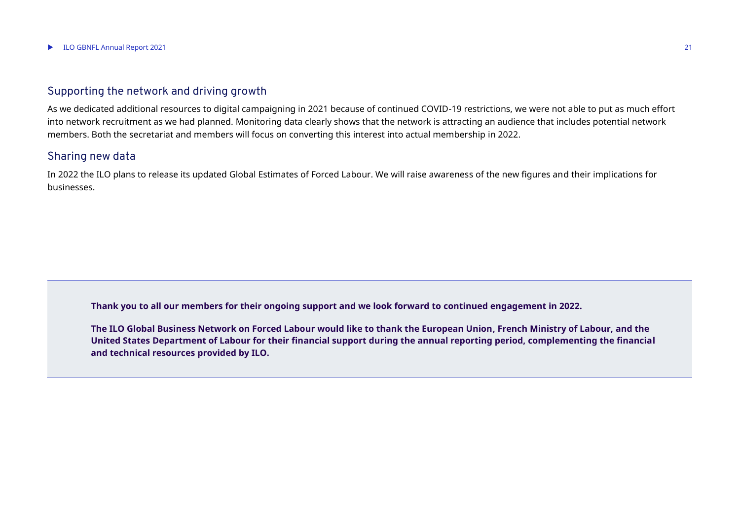#### Supporting the network and driving growth

As we dedicated additional resources to digital campaigning in 2021 because of continued COVID-19 restrictions, we were not able to put as much effort into network recruitment as we had planned. Monitoring data clearly shows that the network is attracting an audience that includes potential network members. Both the secretariat and members will focus on converting this interest into actual membership in 2022.

#### Sharing new data

In 2022 the ILO plans to release its updated Global Estimates of Forced Labour. We will raise awareness of the new figures and their implications for businesses.

**Thank you to all our members for their ongoing support and we look forward to continued engagement in 2022.**

**The ILO Global Business Network on Forced Labour would like to thank the European Union, French Ministry of Labour, and the United States Department of Labour for their financial support during the annual reporting period, complementing the financial and technical resources provided by ILO.**